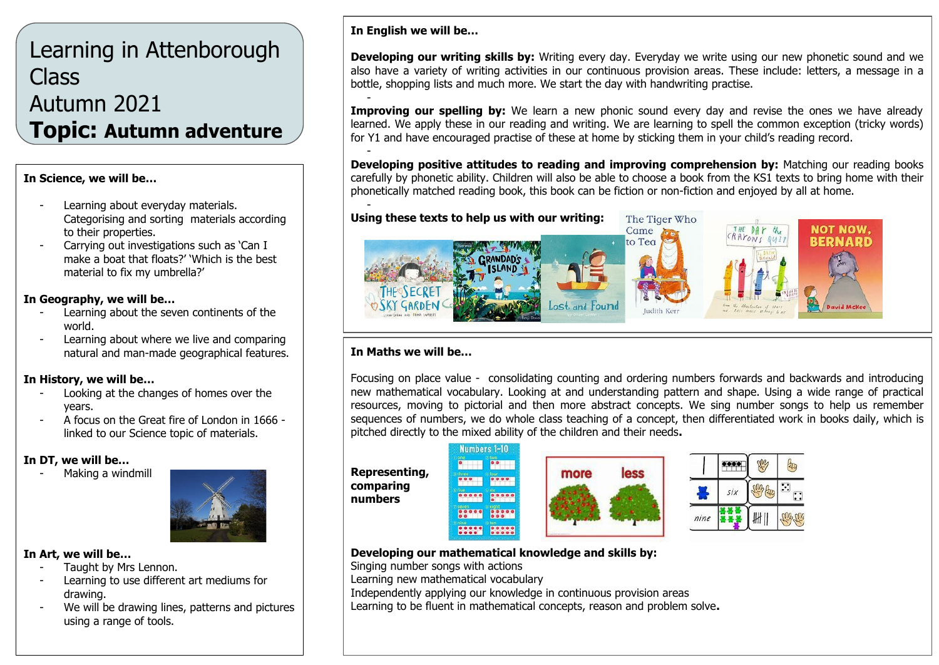# Learning in Attenborough Class Autumn 2021 **Topic: Autumn adventure**

#### **In Science, we will be…**

- Learning about everyday materials. Categorising and sorting materials according to their properties.
- Carrying out investigations such as 'Can I make a boat that floats?' 'Which is the best material to fix my umbrella?'

#### **In Geography, we will be…**

- Learning about the seven continents of the world.
- Learning about where we live and comparing natural and man-made geographical features.

#### **In History, we will be…**

- Looking at the changes of homes over the years.
- A focus on the Great fire of London in 1666 linked to our Science topic of materials.

#### **In DT, we will be…**

Making a windmill



#### **In Art, we will be…**

- Taught by Mrs Lennon.
- Learning to use different art mediums for drawing.
- We will be drawing lines, patterns and pictures using a range of tools.

# **In English we will be…**

**Developing our writing skills by:** Writing every day. Everyday we write using our new phonetic sound and we also have a variety of writing activities in our continuous provision areas. These include: letters, a message in a bottle, shopping lists and much more. We start the day with handwriting practise.

- **Improving our spelling by:** We learn a new phonic sound every day and revise the ones we have already learned. We apply these in our reading and writing. We are learning to spell the common exception (tricky words) for Y1 and have encouraged practise of these at home by sticking them in your child's reading record.

- **Developing positive attitudes to reading and improving comprehension by:** Matching our reading books carefully by phonetic ability. Children will also be able to choose a book from the KS1 texts to bring home with their phonetically matched reading book, this book can be fiction or non-fiction and enjoyed by all at home.



### **In Maths we will be…**

Focusing on place value - consolidating counting and ordering numbers forwards and backwards and introducing new mathematical vocabulary. Looking at and understanding pattern and shape. Using a wide range of practical resources, moving to pictorial and then more abstract concepts. We sing number songs to help us remember sequences of numbers, we do whole class teaching of a concept, then differentiated work in books daily, which is pitched directly to the mixed ability of the children and their needs**.**



### **Developing our mathematical knowledge and skills by:**

Singing number songs with actions

Learning new mathematical vocabulary

Independently applying our knowledge in continuous provision areas

Learning to be fluent in mathematical concepts, reason and problem solve**.**